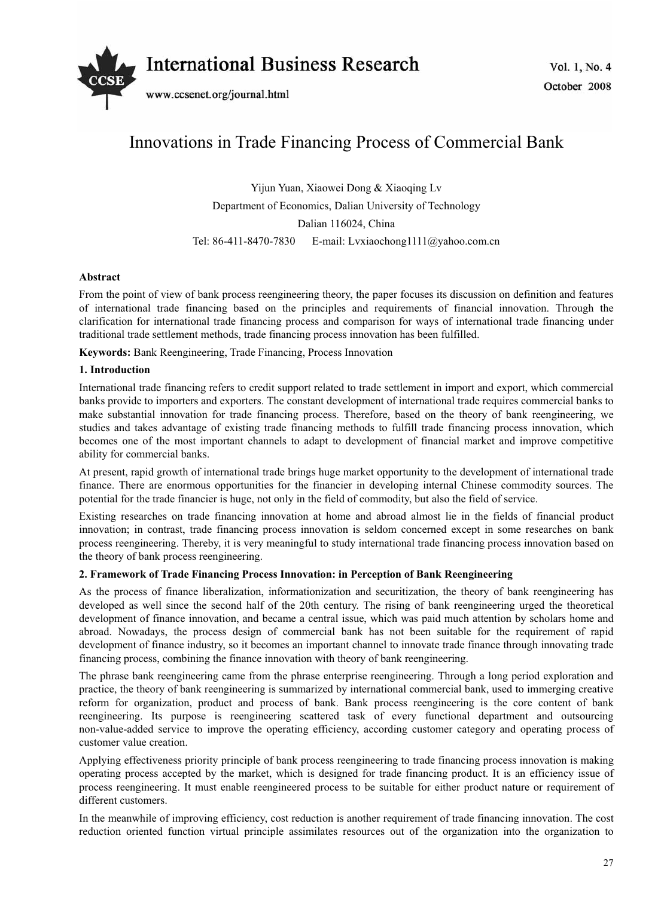

# Innovations in Trade Financing Process of Commercial Bank

Yijun Yuan, Xiaowei Dong & Xiaoqing Lv Department of Economics, Dalian University of Technology Dalian 116024, China Tel: 86-411-8470-7830 E-mail: Lvxiaochong1111@yahoo.com.cn

# **Abstract**

From the point of view of bank process reengineering theory, the paper focuses its discussion on definition and features of international trade financing based on the principles and requirements of financial innovation. Through the clarification for international trade financing process and comparison for ways of international trade financing under traditional trade settlement methods, trade financing process innovation has been fulfilled.

**Keywords:** Bank Reengineering, Trade Financing, Process Innovation

# **1. Introduction**

International trade financing refers to credit support related to trade settlement in import and export, which commercial banks provide to importers and exporters. The constant development of international trade requires commercial banks to make substantial innovation for trade financing process. Therefore, based on the theory of bank reengineering, we studies and takes advantage of existing trade financing methods to fulfill trade financing process innovation, which becomes one of the most important channels to adapt to development of financial market and improve competitive ability for commercial banks.

At present, rapid growth of international trade brings huge market opportunity to the development of international trade finance. There are enormous opportunities for the financier in developing internal Chinese commodity sources. The potential for the trade financier is huge, not only in the field of commodity, but also the field of service.

Existing researches on trade financing innovation at home and abroad almost lie in the fields of financial product innovation; in contrast, trade financing process innovation is seldom concerned except in some researches on bank process reengineering. Thereby, it is very meaningful to study international trade financing process innovation based on the theory of bank process reengineering.

# **2. Framework of Trade Financing Process Innovation: in Perception of Bank Reengineering**

As the process of finance liberalization, informationization and securitization, the theory of bank reengineering has developed as well since the second half of the 20th century. The rising of bank reengineering urged the theoretical development of finance innovation, and became a central issue, which was paid much attention by scholars home and abroad. Nowadays, the process design of commercial bank has not been suitable for the requirement of rapid development of finance industry, so it becomes an important channel to innovate trade finance through innovating trade financing process, combining the finance innovation with theory of bank reengineering.

The phrase bank reengineering came from the phrase enterprise reengineering. Through a long period exploration and practice, the theory of bank reengineering is summarized by international commercial bank, used to immerging creative reform for organization, product and process of bank. Bank process reengineering is the core content of bank reengineering. Its purpose is reengineering scattered task of every functional department and outsourcing non-value-added service to improve the operating efficiency, according customer category and operating process of customer value creation.

Applying effectiveness priority principle of bank process reengineering to trade financing process innovation is making operating process accepted by the market, which is designed for trade financing product. It is an efficiency issue of process reengineering. It must enable reengineered process to be suitable for either product nature or requirement of different customers.

In the meanwhile of improving efficiency, cost reduction is another requirement of trade financing innovation. The cost reduction oriented function virtual principle assimilates resources out of the organization into the organization to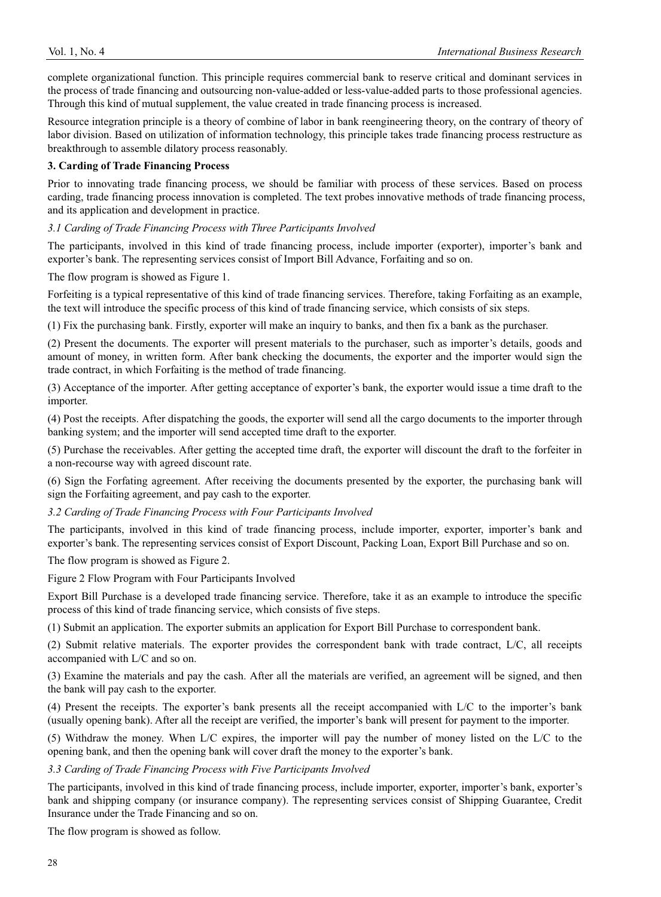complete organizational function. This principle requires commercial bank to reserve critical and dominant services in the process of trade financing and outsourcing non-value-added or less-value-added parts to those professional agencies. Through this kind of mutual supplement, the value created in trade financing process is increased.

Resource integration principle is a theory of combine of labor in bank reengineering theory, on the contrary of theory of labor division. Based on utilization of information technology, this principle takes trade financing process restructure as breakthrough to assemble dilatory process reasonably.

## **3. Carding of Trade Financing Process**

Prior to innovating trade financing process, we should be familiar with process of these services. Based on process carding, trade financing process innovation is completed. The text probes innovative methods of trade financing process, and its application and development in practice.

## *3.1 Carding of Trade Financing Process with Three Participants Involved*

The participants, involved in this kind of trade financing process, include importer (exporter), importer's bank and exporter's bank. The representing services consist of Import Bill Advance, Forfaiting and so on.

The flow program is showed as Figure 1.

Forfeiting is a typical representative of this kind of trade financing services. Therefore, taking Forfaiting as an example, the text will introduce the specific process of this kind of trade financing service, which consists of six steps.

(1) Fix the purchasing bank. Firstly, exporter will make an inquiry to banks, and then fix a bank as the purchaser.

(2) Present the documents. The exporter will present materials to the purchaser, such as importer's details, goods and amount of money, in written form. After bank checking the documents, the exporter and the importer would sign the trade contract, in which Forfaiting is the method of trade financing.

(3) Acceptance of the importer. After getting acceptance of exporter's bank, the exporter would issue a time draft to the importer.

(4) Post the receipts. After dispatching the goods, the exporter will send all the cargo documents to the importer through banking system; and the importer will send accepted time draft to the exporter.

(5) Purchase the receivables. After getting the accepted time draft, the exporter will discount the draft to the forfeiter in a non-recourse way with agreed discount rate.

(6) Sign the Forfating agreement. After receiving the documents presented by the exporter, the purchasing bank will sign the Forfaiting agreement, and pay cash to the exporter.

#### *3.2 Carding of Trade Financing Process with Four Participants Involved*

The participants, involved in this kind of trade financing process, include importer, exporter, importer's bank and exporter's bank. The representing services consist of Export Discount, Packing Loan, Export Bill Purchase and so on.

The flow program is showed as Figure 2.

Figure 2 Flow Program with Four Participants Involved

Export Bill Purchase is a developed trade financing service. Therefore, take it as an example to introduce the specific process of this kind of trade financing service, which consists of five steps.

(1) Submit an application. The exporter submits an application for Export Bill Purchase to correspondent bank.

(2) Submit relative materials. The exporter provides the correspondent bank with trade contract, L/C, all receipts accompanied with L/C and so on.

(3) Examine the materials and pay the cash. After all the materials are verified, an agreement will be signed, and then the bank will pay cash to the exporter.

(4) Present the receipts. The exporter's bank presents all the receipt accompanied with L/C to the importer's bank (usually opening bank). After all the receipt are verified, the importer's bank will present for payment to the importer.

(5) Withdraw the money. When L/C expires, the importer will pay the number of money listed on the L/C to the opening bank, and then the opening bank will cover draft the money to the exporter's bank.

#### *3.3 Carding of Trade Financing Process with Five Participants Involved*

The participants, involved in this kind of trade financing process, include importer, exporter, importer's bank, exporter's bank and shipping company (or insurance company). The representing services consist of Shipping Guarantee, Credit Insurance under the Trade Financing and so on.

The flow program is showed as follow.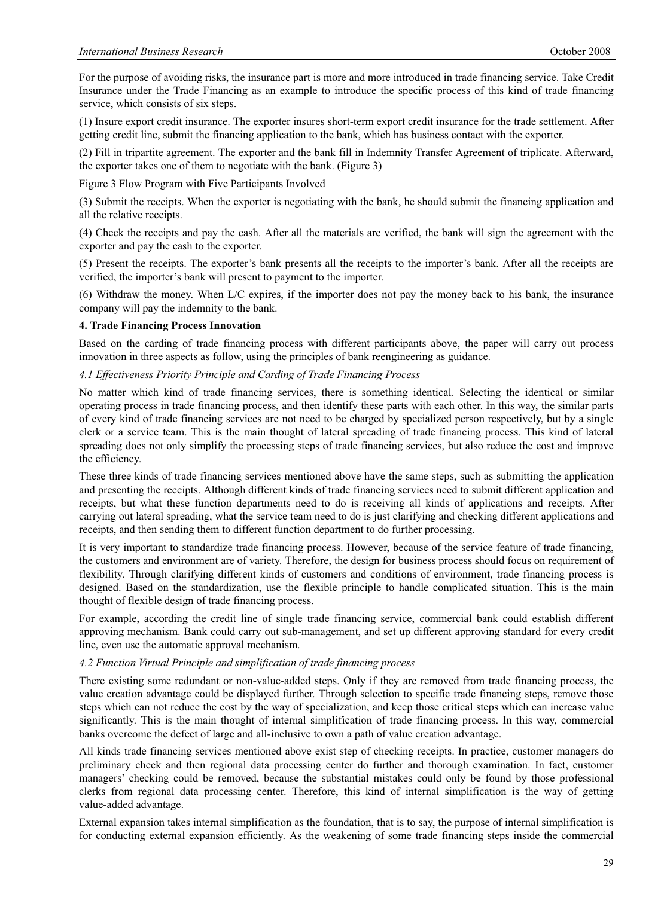For the purpose of avoiding risks, the insurance part is more and more introduced in trade financing service. Take Credit Insurance under the Trade Financing as an example to introduce the specific process of this kind of trade financing service, which consists of six steps.

(1) Insure export credit insurance. The exporter insures short-term export credit insurance for the trade settlement. After getting credit line, submit the financing application to the bank, which has business contact with the exporter.

(2) Fill in tripartite agreement. The exporter and the bank fill in Indemnity Transfer Agreement of triplicate. Afterward, the exporter takes one of them to negotiate with the bank. (Figure 3)

Figure 3 Flow Program with Five Participants Involved

(3) Submit the receipts. When the exporter is negotiating with the bank, he should submit the financing application and all the relative receipts.

(4) Check the receipts and pay the cash. After all the materials are verified, the bank will sign the agreement with the exporter and pay the cash to the exporter.

(5) Present the receipts. The exporter's bank presents all the receipts to the importer's bank. After all the receipts are verified, the importer's bank will present to payment to the importer.

(6) Withdraw the money. When L/C expires, if the importer does not pay the money back to his bank, the insurance company will pay the indemnity to the bank.

## **4. Trade Financing Process Innovation**

Based on the carding of trade financing process with different participants above, the paper will carry out process innovation in three aspects as follow, using the principles of bank reengineering as guidance.

# *4.1 Effectiveness Priority Principle and Carding of Trade Financing Process*

No matter which kind of trade financing services, there is something identical. Selecting the identical or similar operating process in trade financing process, and then identify these parts with each other. In this way, the similar parts of every kind of trade financing services are not need to be charged by specialized person respectively, but by a single clerk or a service team. This is the main thought of lateral spreading of trade financing process. This kind of lateral spreading does not only simplify the processing steps of trade financing services, but also reduce the cost and improve the efficiency.

These three kinds of trade financing services mentioned above have the same steps, such as submitting the application and presenting the receipts. Although different kinds of trade financing services need to submit different application and receipts, but what these function departments need to do is receiving all kinds of applications and receipts. After carrying out lateral spreading, what the service team need to do is just clarifying and checking different applications and receipts, and then sending them to different function department to do further processing.

It is very important to standardize trade financing process. However, because of the service feature of trade financing, the customers and environment are of variety. Therefore, the design for business process should focus on requirement of flexibility. Through clarifying different kinds of customers and conditions of environment, trade financing process is designed. Based on the standardization, use the flexible principle to handle complicated situation. This is the main thought of flexible design of trade financing process.

For example, according the credit line of single trade financing service, commercial bank could establish different approving mechanism. Bank could carry out sub-management, and set up different approving standard for every credit line, even use the automatic approval mechanism.

#### *4.2 Function Virtual Principle and simplification of trade financing process*

There existing some redundant or non-value-added steps. Only if they are removed from trade financing process, the value creation advantage could be displayed further. Through selection to specific trade financing steps, remove those steps which can not reduce the cost by the way of specialization, and keep those critical steps which can increase value significantly. This is the main thought of internal simplification of trade financing process. In this way, commercial banks overcome the defect of large and all-inclusive to own a path of value creation advantage.

All kinds trade financing services mentioned above exist step of checking receipts. In practice, customer managers do preliminary check and then regional data processing center do further and thorough examination. In fact, customer managers' checking could be removed, because the substantial mistakes could only be found by those professional clerks from regional data processing center. Therefore, this kind of internal simplification is the way of getting value-added advantage.

External expansion takes internal simplification as the foundation, that is to say, the purpose of internal simplification is for conducting external expansion efficiently. As the weakening of some trade financing steps inside the commercial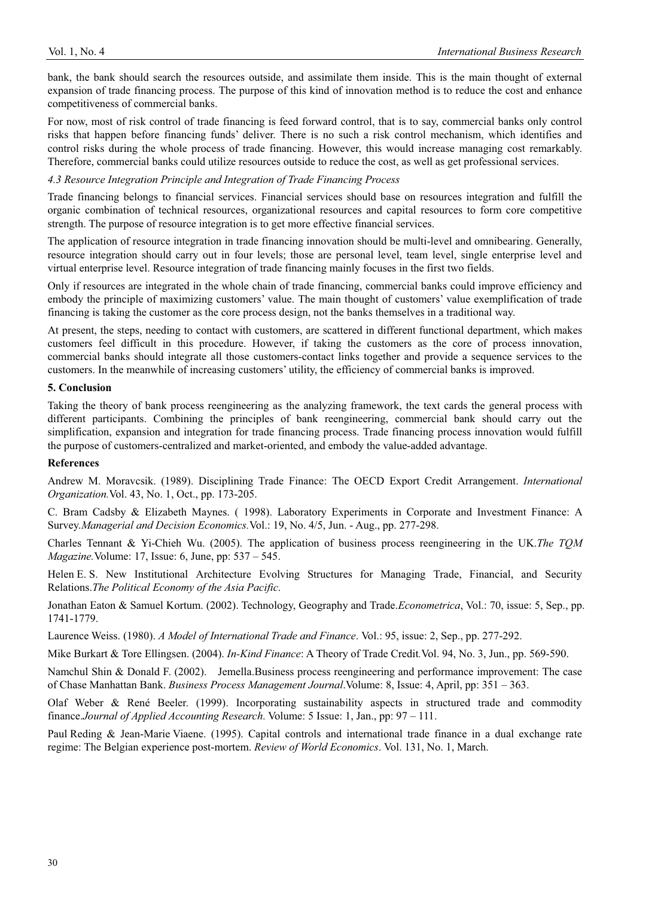bank, the bank should search the resources outside, and assimilate them inside. This is the main thought of external expansion of trade financing process. The purpose of this kind of innovation method is to reduce the cost and enhance competitiveness of commercial banks.

For now, most of risk control of trade financing is feed forward control, that is to say, commercial banks only control risks that happen before financing funds' deliver. There is no such a risk control mechanism, which identifies and control risks during the whole process of trade financing. However, this would increase managing cost remarkably. Therefore, commercial banks could utilize resources outside to reduce the cost, as well as get professional services.

## *4.3 Resource Integration Principle and Integration of Trade Financing Process*

Trade financing belongs to financial services. Financial services should base on resources integration and fulfill the organic combination of technical resources, organizational resources and capital resources to form core competitive strength. The purpose of resource integration is to get more effective financial services.

The application of resource integration in trade financing innovation should be multi-level and omnibearing. Generally, resource integration should carry out in four levels; those are personal level, team level, single enterprise level and virtual enterprise level. Resource integration of trade financing mainly focuses in the first two fields.

Only if resources are integrated in the whole chain of trade financing, commercial banks could improve efficiency and embody the principle of maximizing customers' value. The main thought of customers' value exemplification of trade financing is taking the customer as the core process design, not the banks themselves in a traditional way.

At present, the steps, needing to contact with customers, are scattered in different functional department, which makes customers feel difficult in this procedure. However, if taking the customers as the core of process innovation, commercial banks should integrate all those customers-contact links together and provide a sequence services to the customers. In the meanwhile of increasing customers' utility, the efficiency of commercial banks is improved.

#### **5. Conclusion**

Taking the theory of bank process reengineering as the analyzing framework, the text cards the general process with different participants. Combining the principles of bank reengineering, commercial bank should carry out the simplification, expansion and integration for trade financing process. Trade financing process innovation would fulfill the purpose of customers-centralized and market-oriented, and embody the value-added advantage.

## **References**

Andrew M. Moravcsik. (1989). Disciplining Trade Finance: The OECD Export Credit Arrangement. *International Organization.*Vol. 43, No. 1, Oct., pp. 173-205.

C. Bram Cadsby & Elizabeth Maynes. ( 1998). Laboratory Experiments in Corporate and Investment Finance: A Survey.*Managerial and Decision Economics.*Vol.: 19, No. 4/5, Jun. - Aug., pp. 277-298.

Charles Tennant & Yi-Chieh Wu. (2005). The application of business process reengineering in the UK.*The TQM Magazine.*Volume: 17, Issue: 6, June, pp: 537 – 545.

Helen E. S. New Institutional Architecture Evolving Structures for Managing Trade, Financial, and Security Relations.*The Political Economy of the Asia Pacific*.

Jonathan Eaton & Samuel Kortum. (2002). Technology, Geography and Trade.*Econometrica*, Vol.: 70, issue: 5, Sep., pp. 1741-1779.

Laurence Weiss. (1980). *A Model of International Trade and Finance*. Vol.: 95, issue: 2, Sep., pp. 277-292.

Mike Burkart & Tore Ellingsen. (2004). *In-Kind Finance*: A Theory of Trade Credit*.*Vol. 94, No. 3, Jun., pp. 569-590.

Namchul Shin & Donald F. (2002). Jemella.Business process reengineering and performance improvement: The case of Chase Manhattan Bank. *Business Process Management Journal*.Volume: 8, Issue: 4, April, pp: 351 – 363.

Olaf Weber & René Beeler. (1999). Incorporating sustainability aspects in structured trade and commodity finance.*Journal of Applied Accounting Research*. Volume: 5 Issue: 1, Jan., pp: 97 – 111.

Paul Reding & Jean-Marie Viaene. (1995). Capital controls and international trade finance in a dual exchange rate regime: The Belgian experience post-mortem. *Review of World Economics*. Vol. 131, No. 1, March.